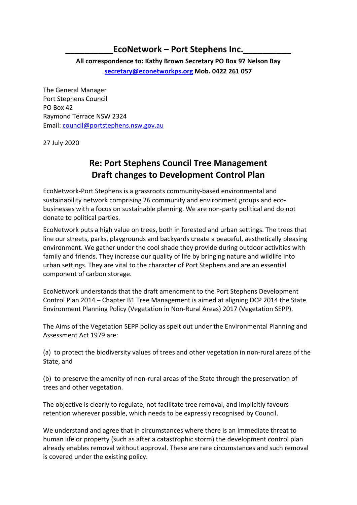## EcoNetwork – Port Stephens Inc.

**All correspondence to: Kathy Brown Secretary PO Box 97 Nelson Bay secretary@econetworkps.org Mob. 0422 261 057**

The General Manager Port Stephens Council PO Box 42 Raymond Terrace NSW 2324 Email: council@portstephens.nsw.gov.au

27 July 2020

# **Re: Port Stephens Council Tree Management Draft changes to Development Control Plan**

EcoNetwork-Port Stephens is a grassroots community-based environmental and sustainability network comprising 26 community and environment groups and ecobusinesses with a focus on sustainable planning. We are non-party political and do not donate to political parties.

EcoNetwork puts a high value on trees, both in forested and urban settings. The trees that line our streets, parks, playgrounds and backyards create a peaceful, aesthetically pleasing environment. We gather under the cool shade they provide during outdoor activities with family and friends. They increase our quality of life by bringing nature and wildlife into urban settings. They are vital to the character of Port Stephens and are an essential component of carbon storage.

EcoNetwork understands that the draft amendment to the Port Stephens Development Control Plan 2014 – Chapter B1 Tree Management is aimed at aligning DCP 2014 the State Environment Planning Policy (Vegetation in Non-Rural Areas) 2017 (Vegetation SEPP).

The Aims of the Vegetation SEPP policy as spelt out under the Environmental Planning and Assessment Act 1979 are:

(a) to protect the biodiversity values of trees and other vegetation in non-rural areas of the State, and

(b) to preserve the amenity of non-rural areas of the State through the preservation of trees and other vegetation.

The objective is clearly to regulate, not facilitate tree removal, and implicitly favours retention wherever possible, which needs to be expressly recognised by Council.

We understand and agree that in circumstances where there is an immediate threat to human life or property (such as after a catastrophic storm) the development control plan already enables removal without approval. These are rare circumstances and such removal is covered under the existing policy.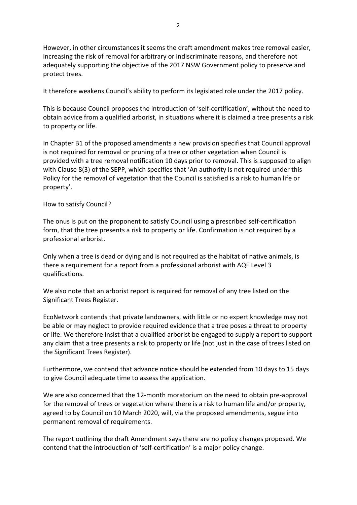However, in other circumstances it seems the draft amendment makes tree removal easier, increasing the risk of removal for arbitrary or indiscriminate reasons, and therefore not adequately supporting the objective of the 2017 NSW Government policy to preserve and protect trees.

It therefore weakens Council's ability to perform its legislated role under the 2017 policy.

This is because Council proposes the introduction of 'self-certification', without the need to obtain advice from a qualified arborist, in situations where it is claimed a tree presents a risk to property or life.

In Chapter B1 of the proposed amendments a new provision specifies that Council approval is not required for removal or pruning of a tree or other vegetation when Council is provided with a tree removal notification 10 days prior to removal. This is supposed to align with Clause 8(3) of the SEPP, which specifies that 'An authority is not required under this Policy for the removal of vegetation that the Council is satisfied is a risk to human life or property'.

#### How to satisfy Council?

The onus is put on the proponent to satisfy Council using a prescribed self-certification form, that the tree presents a risk to property or life. Confirmation is not required by a professional arborist.

Only when a tree is dead or dying and is not required as the habitat of native animals, is there a requirement for a report from a professional arborist with AQF Level 3 qualifications.

We also note that an arborist report is required for removal of any tree listed on the Significant Trees Register.

EcoNetwork contends that private landowners, with little or no expert knowledge may not be able or may neglect to provide required evidence that a tree poses a threat to property or life. We therefore insist that a qualified arborist be engaged to supply a report to support any claim that a tree presents a risk to property or life (not just in the case of trees listed on the Significant Trees Register).

Furthermore, we contend that advance notice should be extended from 10 days to 15 days to give Council adequate time to assess the application.

We are also concerned that the 12-month moratorium on the need to obtain pre-approval for the removal of trees or vegetation where there is a risk to human life and/or property, agreed to by Council on 10 March 2020, will, via the proposed amendments, segue into permanent removal of requirements.

The report outlining the draft Amendment says there are no policy changes proposed. We contend that the introduction of 'self-certification' is a major policy change.